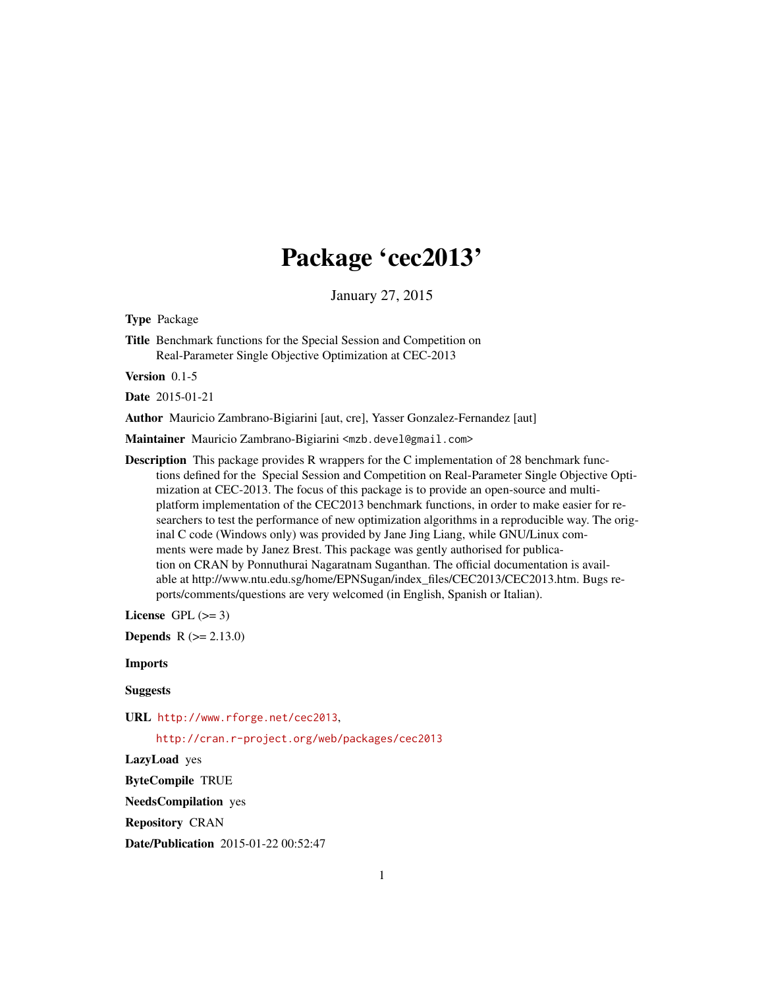## Package 'cec2013'

January 27, 2015

Type Package

Title Benchmark functions for the Special Session and Competition on Real-Parameter Single Objective Optimization at CEC-2013

Version 0.1-5

Date 2015-01-21

Author Mauricio Zambrano-Bigiarini [aut, cre], Yasser Gonzalez-Fernandez [aut]

Maintainer Mauricio Zambrano-Bigiarini <mzb.devel@gmail.com>

Description This package provides R wrappers for the C implementation of 28 benchmark functions defined for the Special Session and Competition on Real-Parameter Single Objective Optimization at CEC-2013. The focus of this package is to provide an open-source and multiplatform implementation of the CEC2013 benchmark functions, in order to make easier for researchers to test the performance of new optimization algorithms in a reproducible way. The original C code (Windows only) was provided by Jane Jing Liang, while GNU/Linux comments were made by Janez Brest. This package was gently authorised for publication on CRAN by Ponnuthurai Nagaratnam Suganthan. The official documentation is available at http://www.ntu.edu.sg/home/EPNSugan/index\_files/CEC2013/CEC2013.htm. Bugs reports/comments/questions are very welcomed (in English, Spanish or Italian).

License GPL  $(>= 3)$ 

**Depends**  $R$  ( $>= 2.13.0$ )

Imports

**Suggests** 

URL <http://www.rforge.net/cec2013>,

<http://cran.r-project.org/web/packages/cec2013>

LazyLoad yes

ByteCompile TRUE

NeedsCompilation yes

Repository CRAN

Date/Publication 2015-01-22 00:52:47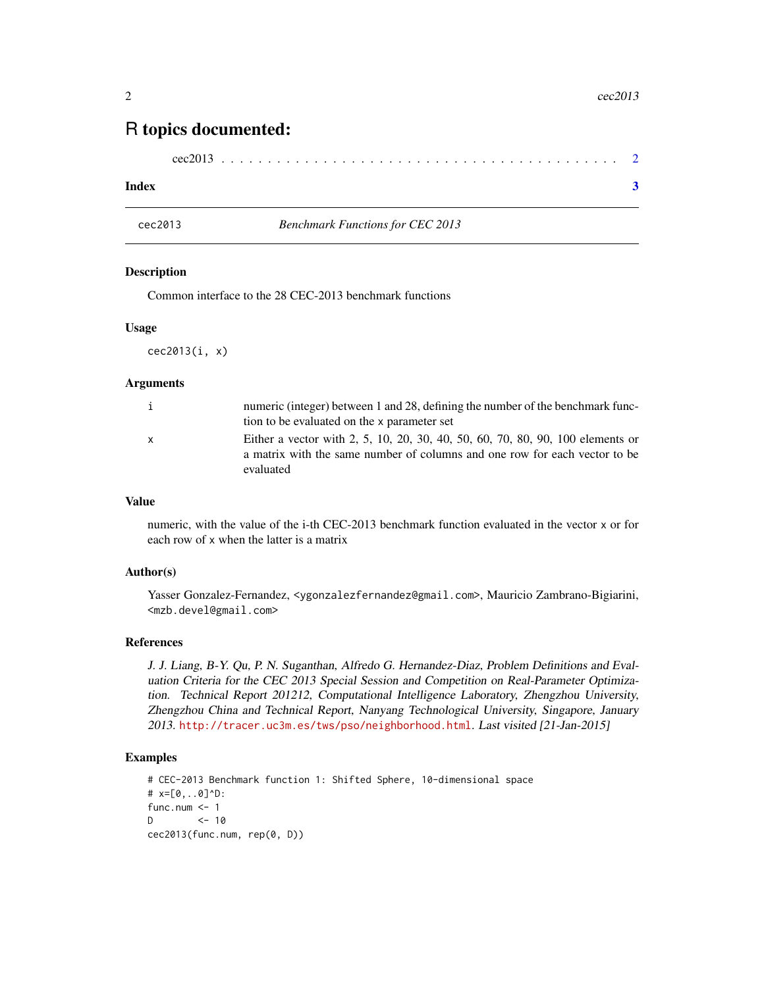### <span id="page-1-0"></span>R topics documented:

| cec2013 |  |  |  |  |  |  |  |  |  |  |  |  |  |  |  |  |  |  |  |  |  |  |  |  |  |  |  |  |  |  |  |  |  |  |  |  |  |  |  |  |  |  |  |  |
|---------|--|--|--|--|--|--|--|--|--|--|--|--|--|--|--|--|--|--|--|--|--|--|--|--|--|--|--|--|--|--|--|--|--|--|--|--|--|--|--|--|--|--|--|--|
|---------|--|--|--|--|--|--|--|--|--|--|--|--|--|--|--|--|--|--|--|--|--|--|--|--|--|--|--|--|--|--|--|--|--|--|--|--|--|--|--|--|--|--|--|--|

#### **Index** [3](#page-2-0)

cec2013 *Benchmark Functions for CEC 2013*

#### Description

Common interface to the 28 CEC-2013 benchmark functions

#### Usage

cec2013(i, x)

#### Arguments

| i            | numeric (integer) between 1 and 28, defining the number of the benchmark func- |
|--------------|--------------------------------------------------------------------------------|
|              | tion to be evaluated on the x parameter set                                    |
| $\mathsf{x}$ | Either a vector with 2, 5, 10, 20, 30, 40, 50, 60, 70, 80, 90, 100 elements or |
|              | a matrix with the same number of columns and one row for each vector to be     |
|              | evaluated                                                                      |

#### Value

numeric, with the value of the i-th CEC-2013 benchmark function evaluated in the vector x or for each row of x when the latter is a matrix

#### Author(s)

Yasser Gonzalez-Fernandez, <ygonzalezfernandez@gmail.com>, Mauricio Zambrano-Bigiarini, <mzb.devel@gmail.com>

#### References

J. J. Liang, B-Y. Qu, P. N. Suganthan, Alfredo G. Hernandez-Diaz, Problem Definitions and Evaluation Criteria for the CEC 2013 Special Session and Competition on Real-Parameter Optimization. Technical Report 201212, Computational Intelligence Laboratory, Zhengzhou University, Zhengzhou China and Technical Report, Nanyang Technological University, Singapore, January 2013. <http://tracer.uc3m.es/tws/pso/neighborhood.html>. Last visited [21-Jan-2015]

#### Examples

```
# CEC-2013 Benchmark function 1: Shifted Sphere, 10-dimensional space
# x=[0,..0]^D:
func.num \leq -1D \leq -10cec2013(func.num, rep(0, D))
```